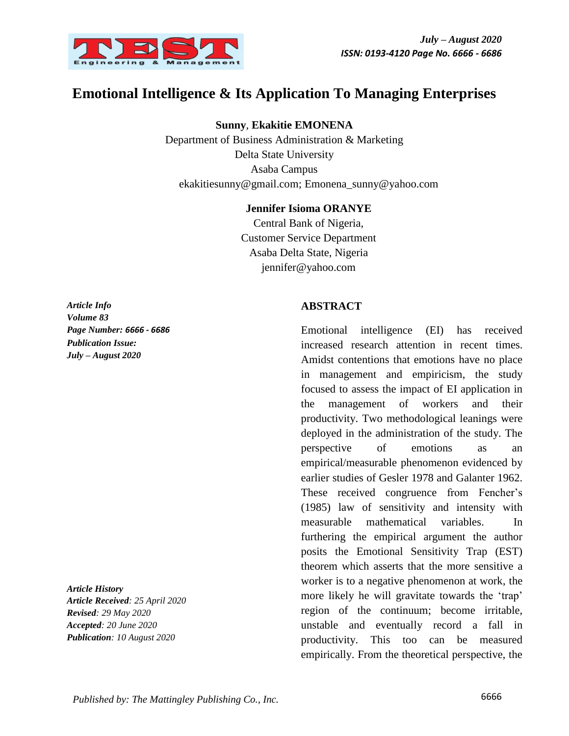

# **Emotional Intelligence & Its Application To Managing Enterprises**

**Sunny**, **Ekakitie EMONENA**

Department of Business Administration & Marketing Delta State University Asaba Campus [ekakitiesunny@gmail.com;](mailto:ekakitiesunny@gmail.com) [Emonena\\_sunny@yahoo.com](mailto:Emonena_sunny@yahoo.com)

#### **Jennifer Isioma ORANYE**

Central Bank of Nigeria, Customer Service Department Asaba Delta State, Nigeria jennifer@yahoo.com

*Article Info Volume 83 Page Number: 6666 - 6686 Publication Issue: July – August 2020*

*Article History Article Received: 25 April 2020 Revised: 29 May 2020 Accepted: 20 June 2020 Publication: 10 August 2020*

### **ABSTRACT**

Emotional intelligence (EI) has received increased research attention in recent times. Amidst contentions that emotions have no place in management and empiricism, the study focused to assess the impact of EI application in the management of workers and their productivity. Two methodological leanings were deployed in the administration of the study. The perspective of emotions as an empirical/measurable phenomenon evidenced by earlier studies of Gesler 1978 and Galanter 1962. These received congruence from Fencher's (1985) law of sensitivity and intensity with measurable mathematical variables. In furthering the empirical argument the author posits the Emotional Sensitivity Trap (EST) theorem which asserts that the more sensitive a worker is to a negative phenomenon at work, the more likely he will gravitate towards the 'trap' region of the continuum; become irritable, unstable and eventually record a fall in productivity. This too can be measured empirically. From the theoretical perspective, the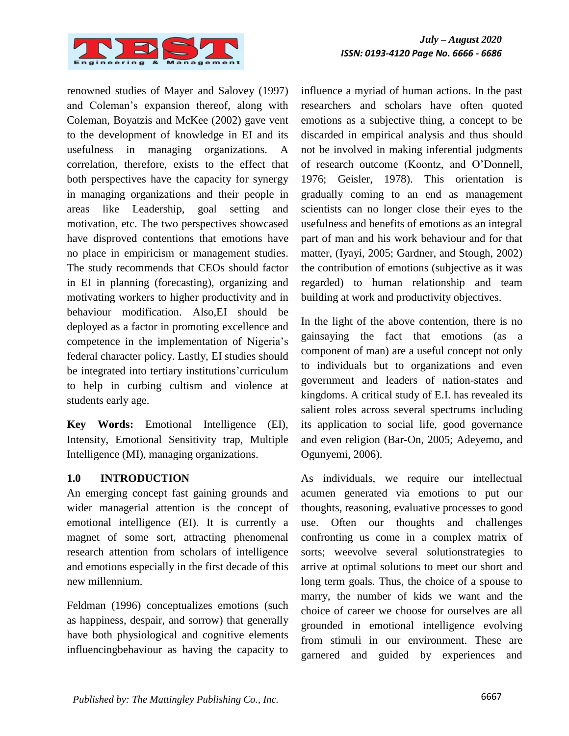

*July – August 2020 ISSN: 0193-4120 Page No. 6666 - 6686*

renowned studies of Mayer and Salovey (1997) and Coleman"s expansion thereof, along with Coleman, Boyatzis and McKee (2002) gave vent to the development of knowledge in EI and its usefulness in managing organizations. A correlation, therefore, exists to the effect that both perspectives have the capacity for synergy in managing organizations and their people in areas like Leadership, goal setting and motivation, etc. The two perspectives showcased have disproved contentions that emotions have no place in empiricism or management studies. The study recommends that CEOs should factor in EI in planning (forecasting), organizing and motivating workers to higher productivity and in behaviour modification. Also,EI should be deployed as a factor in promoting excellence and competence in the implementation of Nigeria's federal character policy. Lastly, EI studies should be integrated into tertiary institutions' curriculum to help in curbing cultism and violence at students early age.

**Key Words:** Emotional Intelligence (EI), Intensity, Emotional Sensitivity trap, Multiple Intelligence (MI), managing organizations.

#### **1.0 INTRODUCTION**

An emerging concept fast gaining grounds and wider managerial attention is the concept of emotional intelligence (EI). It is currently a magnet of some sort, attracting phenomenal research attention from scholars of intelligence and emotions especially in the first decade of this new millennium.

Feldman (1996) conceptualizes emotions (such as happiness, despair, and sorrow) that generally have both physiological and cognitive elements influencingbehaviour as having the capacity to influence a myriad of human actions. In the past researchers and scholars have often quoted emotions as a subjective thing, a concept to be discarded in empirical analysis and thus should not be involved in making inferential judgments of research outcome (Koontz, and O"Donnell, 1976; Geisler, 1978). This orientation is gradually coming to an end as management scientists can no longer close their eyes to the usefulness and benefits of emotions as an integral part of man and his work behaviour and for that matter, (Iyayi, 2005; Gardner, and Stough, 2002) the contribution of emotions (subjective as it was regarded) to human relationship and team building at work and productivity objectives.

In the light of the above contention, there is no gainsaying the fact that emotions (as a component of man) are a useful concept not only to individuals but to organizations and even government and leaders of nation-states and kingdoms. A critical study of E.I. has revealed its salient roles across several spectrums including its application to social life, good governance and even religion (Bar-On, 2005; Adeyemo, and Ogunyemi, 2006).

As individuals, we require our intellectual acumen generated via emotions to put our thoughts, reasoning, evaluative processes to good use. Often our thoughts and challenges confronting us come in a complex matrix of sorts; weevolve several solutionstrategies to arrive at optimal solutions to meet our short and long term goals. Thus, the choice of a spouse to marry, the number of kids we want and the choice of career we choose for ourselves are all grounded in emotional intelligence evolving from stimuli in our environment. These are garnered and guided by experiences and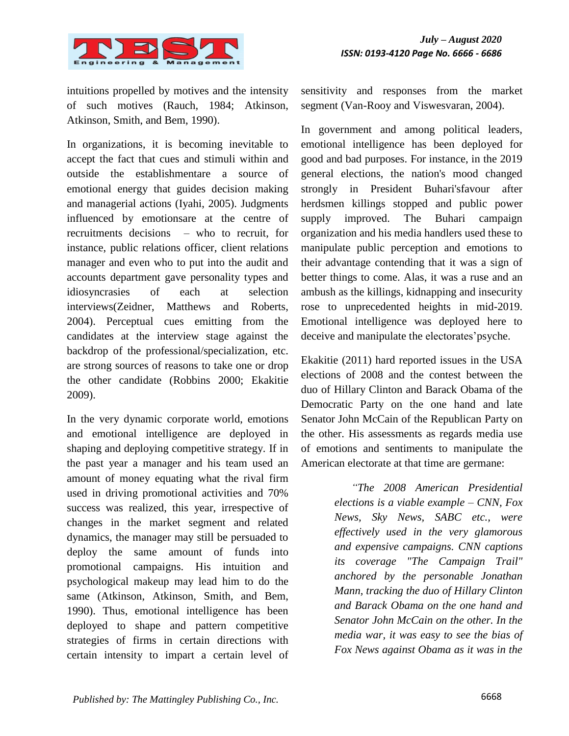

intuitions propelled by motives and the intensity of such motives (Rauch, 1984; Atkinson, Atkinson, Smith, and Bem, 1990).

In organizations, it is becoming inevitable to accept the fact that cues and stimuli within and outside the establishmentare a source of emotional energy that guides decision making and managerial actions (Iyahi, 2005). Judgments influenced by emotionsare at the centre of recruitments decisions – who to recruit, for instance, public relations officer, client relations manager and even who to put into the audit and accounts department gave personality types and idiosyncrasies of each at selection interviews(Zeidner, Matthews and Roberts, 2004). Perceptual cues emitting from the candidates at the interview stage against the backdrop of the professional/specialization, etc. are strong sources of reasons to take one or drop the other candidate (Robbins 2000; Ekakitie 2009).

In the very dynamic corporate world, emotions and emotional intelligence are deployed in shaping and deploying competitive strategy. If in the past year a manager and his team used an amount of money equating what the rival firm used in driving promotional activities and 70% success was realized, this year, irrespective of changes in the market segment and related dynamics, the manager may still be persuaded to deploy the same amount of funds into promotional campaigns. His intuition and psychological makeup may lead him to do the same (Atkinson, Atkinson, Smith, and Bem, 1990). Thus, emotional intelligence has been deployed to shape and pattern competitive strategies of firms in certain directions with certain intensity to impart a certain level of

sensitivity and responses from the market segment (Van-Rooy and Viswesvaran, 2004).

In government and among political leaders, emotional intelligence has been deployed for good and bad purposes. For instance, in the 2019 general elections, the nation's mood changed strongly in President Buhari'sfavour after herdsmen killings stopped and public power supply improved. The Buhari campaign organization and his media handlers used these to manipulate public perception and emotions to their advantage contending that it was a sign of better things to come. Alas, it was a ruse and an ambush as the killings, kidnapping and insecurity rose to unprecedented heights in mid-2019. Emotional intelligence was deployed here to deceive and manipulate the electorates' psyche.

Ekakitie (2011) hard reported issues in the USA elections of 2008 and the contest between the duo of Hillary Clinton and Barack Obama of the Democratic Party on the one hand and late Senator John McCain of the Republican Party on the other. His assessments as regards media use of emotions and sentiments to manipulate the American electorate at that time are germane:

> *"The 2008 American Presidential elections is a viable example – CNN, Fox News, Sky News, SABC etc., were effectively used in the very glamorous and expensive campaigns. CNN captions its coverage "The Campaign Trail" anchored by the personable Jonathan Mann, tracking the duo of Hillary Clinton and Barack Obama on the one hand and Senator John McCain on the other. In the media war, it was easy to see the bias of Fox News against Obama as it was in the*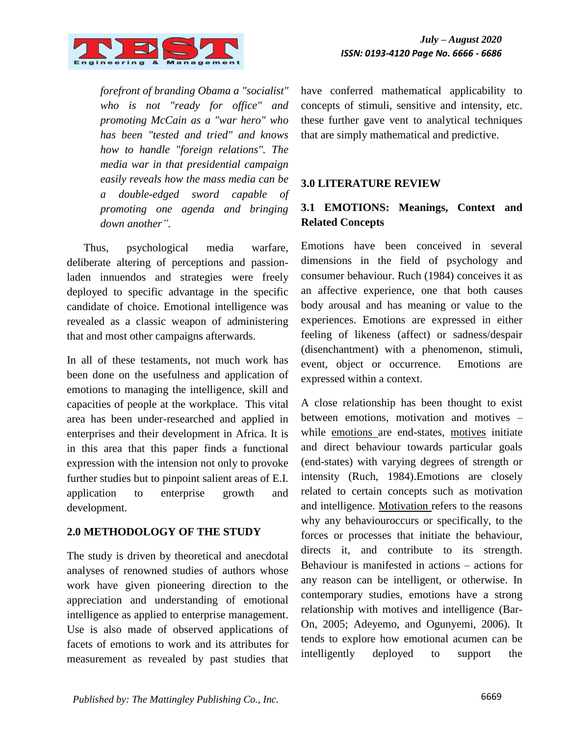

*forefront of branding Obama a "socialist" who is not "ready for office" and promoting McCain as a "war hero" who has been "tested and tried" and knows how to handle "foreign relations". The media war in that presidential campaign easily reveals how the mass media can be a double-edged sword capable of promoting one agenda and bringing down another".*

Thus, psychological media warfare, deliberate altering of perceptions and passionladen innuendos and strategies were freely deployed to specific advantage in the specific candidate of choice. Emotional intelligence was revealed as a classic weapon of administering that and most other campaigns afterwards.

In all of these testaments, not much work has been done on the usefulness and application of emotions to managing the intelligence, skill and capacities of people at the workplace. This vital area has been under-researched and applied in enterprises and their development in Africa. It is in this area that this paper finds a functional expression with the intension not only to provoke further studies but to pinpoint salient areas of E.I. application to enterprise growth and development.

#### **2.0 METHODOLOGY OF THE STUDY**

The study is driven by theoretical and anecdotal analyses of renowned studies of authors whose work have given pioneering direction to the appreciation and understanding of emotional intelligence as applied to enterprise management. Use is also made of observed applications of facets of emotions to work and its attributes for measurement as revealed by past studies that have conferred mathematical applicability to concepts of stimuli, sensitive and intensity, etc. these further gave vent to analytical techniques that are simply mathematical and predictive.

#### **3.0 LITERATURE REVIEW**

# **3.1 EMOTIONS: Meanings, Context and Related Concepts**

Emotions have been conceived in several dimensions in the field of psychology and consumer behaviour. Ruch (1984) conceives it as an affective experience, one that both causes body arousal and has meaning or value to the experiences. Emotions are expressed in either feeling of likeness (affect) or sadness/despair (disenchantment) with a phenomenon, stimuli, event, object or occurrence. Emotions are expressed within a context.

A close relationship has been thought to exist between emotions, motivation and motives – while emotions are end-states, motives initiate and direct behaviour towards particular goals (end-states) with varying degrees of strength or intensity (Ruch, 1984).Emotions are closely related to certain concepts such as motivation and intelligence. Motivation refers to the reasons why any behaviouroccurs or specifically, to the forces or processes that initiate the behaviour, directs it, and contribute to its strength. Behaviour is manifested in actions – actions for any reason can be intelligent, or otherwise. In contemporary studies, emotions have a strong relationship with motives and intelligence (Bar-On, 2005; Adeyemo, and Ogunyemi, 2006). It tends to explore how emotional acumen can be intelligently deployed to support the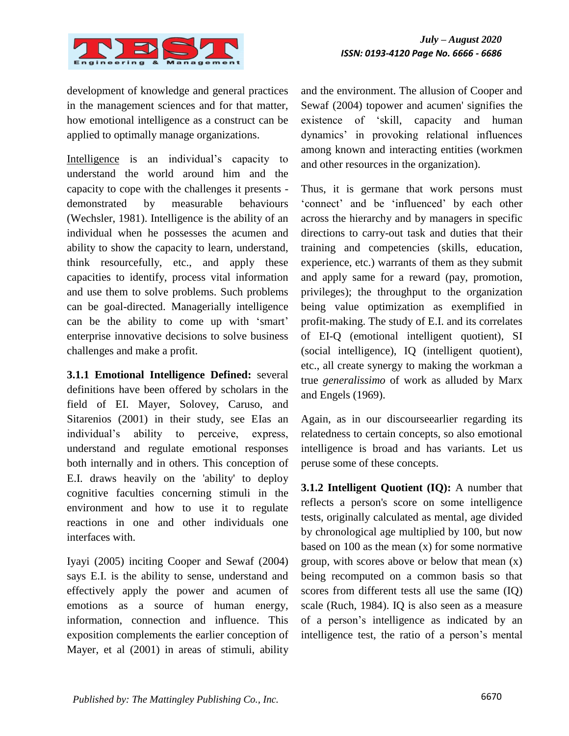

development of knowledge and general practices in the management sciences and for that matter, how emotional intelligence as a construct can be applied to optimally manage organizations.

Intelligence is an individual's capacity to understand the world around him and the capacity to cope with the challenges it presents demonstrated by measurable behaviours (Wechsler, 1981). Intelligence is the ability of an individual when he possesses the acumen and ability to show the capacity to learn, understand, think resourcefully, etc., and apply these capacities to identify, process vital information and use them to solve problems. Such problems can be goal-directed. Managerially intelligence can be the ability to come up with 'smart' enterprise innovative decisions to solve business challenges and make a profit.

**3.1.1 Emotional Intelligence Defined:** several definitions have been offered by scholars in the field of EI. Mayer, Solovey, Caruso, and Sitarenios (2001) in their study, see EIas an individual"s ability to perceive, express, understand and regulate emotional responses both internally and in others. This conception of E.I. draws heavily on the 'ability' to deploy cognitive faculties concerning stimuli in the environment and how to use it to regulate reactions in one and other individuals one interfaces with.

Iyayi (2005) inciting Cooper and Sewaf (2004) says E.I. is the ability to sense, understand and effectively apply the power and acumen of emotions as a source of human energy, information, connection and influence. This exposition complements the earlier conception of Mayer, et al (2001) in areas of stimuli, ability and the environment. The allusion of Cooper and Sewaf (2004) topower and acumen' signifies the existence of "skill, capacity and human dynamics" in provoking relational influences among known and interacting entities (workmen and other resources in the organization).

Thus, it is germane that work persons must "connect" and be "influenced" by each other across the hierarchy and by managers in specific directions to carry-out task and duties that their training and competencies (skills, education, experience, etc.) warrants of them as they submit and apply same for a reward (pay, promotion, privileges); the throughput to the organization being value optimization as exemplified in profit-making. The study of E.I. and its correlates of EI-Q (emotional intelligent quotient), SI (social intelligence), IQ (intelligent quotient), etc., all create synergy to making the workman a true *generalissimo* of work as alluded by Marx and Engels (1969).

Again, as in our discourseearlier regarding its relatedness to certain concepts, so also emotional intelligence is broad and has variants. Let us peruse some of these concepts.

**3.1.2 Intelligent Quotient (IQ):** A number that reflects a person's score on some intelligence tests, originally calculated as mental, age divided by chronological age multiplied by 100, but now based on 100 as the mean (x) for some normative group, with scores above or below that mean (x) being recomputed on a common basis so that scores from different tests all use the same (IQ) scale (Ruch, 1984). IQ is also seen as a measure of a person"s intelligence as indicated by an intelligence test, the ratio of a person"s mental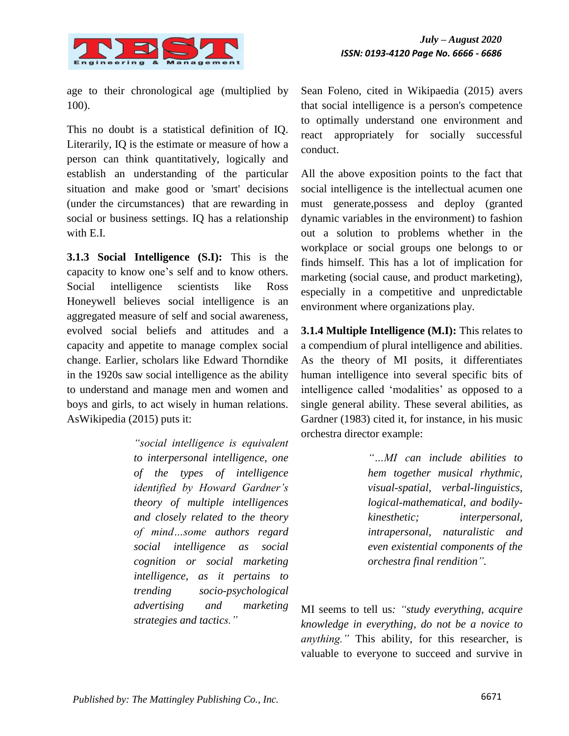

age to their chronological age (multiplied by 100).

This no doubt is a statistical definition of IQ. Literarily, IQ is the estimate or measure of how a person can think quantitatively, logically and establish an understanding of the particular situation and make good or 'smart' decisions (under the circumstances) that are rewarding in social or business settings. IQ has a relationship with E.I.

**3.1.3 Social Intelligence (S.I):** This is the capacity to know one"s self and to know others. Social intelligence scientists like Ross Honeywell believes social intelligence is an aggregated measure of self and social awareness, evolved social beliefs and attitudes and a capacity and appetite to manage complex social change. Earlier, scholars like Edward Thorndike in the 1920s saw social intelligence as the ability to understand and manage men and women and boys and girls, to act wisely in human relations. AsWikipedia (2015) puts it:

> *"social intelligence is equivalent to interpersonal intelligence, one of the types of intelligence identified by Howard Gardner"s theory of multiple intelligences and closely related to the theory of mind…some authors regard social intelligence as social cognition or social marketing intelligence, as it pertains to trending socio-psychological advertising and marketing strategies and tactics."*

Sean Foleno, cited in Wikipaedia (2015) avers that social intelligence is a person's competence to optimally understand one environment and react appropriately for socially successful conduct.

All the above exposition points to the fact that social intelligence is the intellectual acumen one must generate,possess and deploy (granted dynamic variables in the environment) to fashion out a solution to problems whether in the workplace or social groups one belongs to or finds himself. This has a lot of implication for marketing (social cause, and product marketing), especially in a competitive and unpredictable environment where organizations play.

**3.1.4 Multiple Intelligence (M.I):** This relates to a compendium of plural intelligence and abilities. As the theory of MI posits, it differentiates human intelligence into several specific bits of intelligence called "modalities" as opposed to a single general ability. These several abilities, as Gardner (1983) cited it, for instance, in his music orchestra director example:

> *"…MI can include abilities to hem together musical rhythmic, visual-spatial, verbal-linguistics, logical-mathematical, and bodilykinesthetic; interpersonal, intrapersonal, naturalistic and even existential components of the orchestra final rendition".*

MI seems to tell us*: "study everything, acquire knowledge in everything, do not be a novice to anything."* This ability, for this researcher, is valuable to everyone to succeed and survive in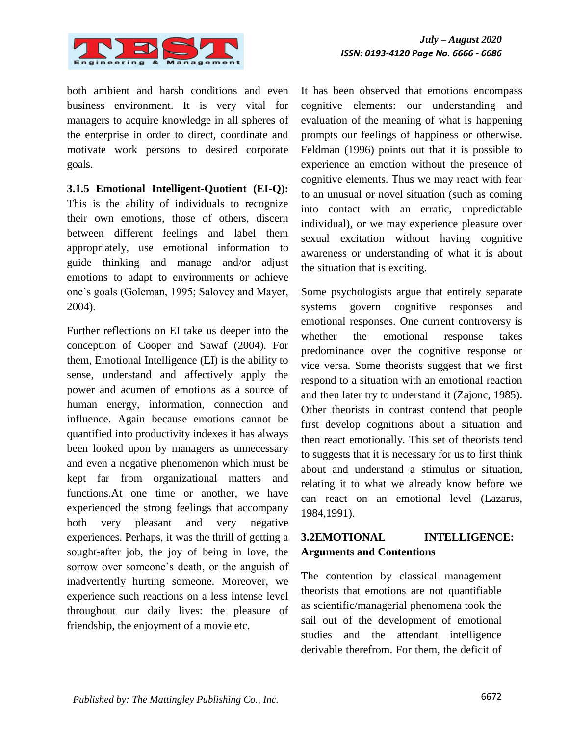

both ambient and harsh conditions and even business environment. It is very vital for managers to acquire knowledge in all spheres of the enterprise in order to direct, coordinate and motivate work persons to desired corporate goals.

**3.1.5 Emotional Intelligent-Quotient (EI-Q):** This is the ability of individuals to recognize their own emotions, those of others, discern between different feelings and label them appropriately, use emotional information to guide thinking and manage and/or adjust emotions to adapt to environments or achieve one"s goals (Goleman, 1995; Salovey and Mayer, 2004).

Further reflections on EI take us deeper into the conception of Cooper and Sawaf (2004). For them, Emotional Intelligence (EI) is the ability to sense, understand and affectively apply the power and acumen of emotions as a source of human energy, information, connection and influence. Again because emotions cannot be quantified into productivity indexes it has always been looked upon by managers as unnecessary and even a negative phenomenon which must be kept far from organizational matters and functions.At one time or another, we have experienced the strong feelings that accompany both very pleasant and very negative experiences. Perhaps, it was the thrill of getting a sought-after job, the joy of being in love, the sorrow over someone's death, or the anguish of inadvertently hurting someone. Moreover, we experience such reactions on a less intense level throughout our daily lives: the pleasure of friendship, the enjoyment of a movie etc.

It has been observed that emotions encompass cognitive elements: our understanding and evaluation of the meaning of what is happening prompts our feelings of happiness or otherwise. Feldman (1996) points out that it is possible to experience an emotion without the presence of cognitive elements. Thus we may react with fear to an unusual or novel situation (such as coming into contact with an erratic, unpredictable individual), or we may experience pleasure over sexual excitation without having cognitive awareness or understanding of what it is about the situation that is exciting.

Some psychologists argue that entirely separate systems govern cognitive responses and emotional responses. One current controversy is whether the emotional response takes predominance over the cognitive response or vice versa. Some theorists suggest that we first respond to a situation with an emotional reaction and then later try to understand it (Zajonc, 1985). Other theorists in contrast contend that people first develop cognitions about a situation and then react emotionally. This set of theorists tend to suggests that it is necessary for us to first think about and understand a stimulus or situation, relating it to what we already know before we can react on an emotional level (Lazarus, 1984,1991).

# **3.2EMOTIONAL INTELLIGENCE: Arguments and Contentions**

The contention by classical management theorists that emotions are not quantifiable as scientific/managerial phenomena took the sail out of the development of emotional studies and the attendant intelligence derivable therefrom. For them, the deficit of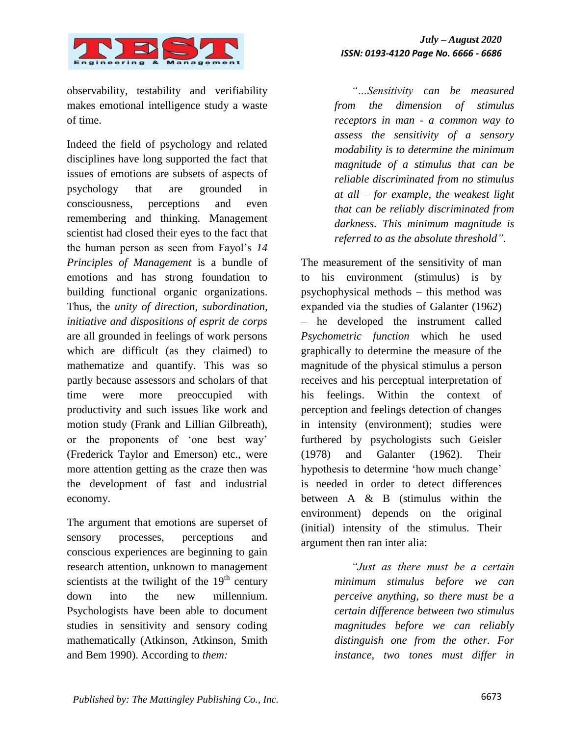

observability, testability and verifiability makes emotional intelligence study a waste of time.

Indeed the field of psychology and related disciplines have long supported the fact that issues of emotions are subsets of aspects of psychology that are grounded in consciousness, perceptions and even remembering and thinking. Management scientist had closed their eyes to the fact that the human person as seen from Fayol"s *14 Principles of Management* is a bundle of emotions and has strong foundation to building functional organic organizations. Thus, the *unity of direction, subordination, initiative and dispositions of esprit de corps*  are all grounded in feelings of work persons which are difficult (as they claimed) to mathematize and quantify. This was so partly because assessors and scholars of that time were more preoccupied with productivity and such issues like work and motion study (Frank and Lillian Gilbreath), or the proponents of "one best way" (Frederick Taylor and Emerson) etc., were more attention getting as the craze then was the development of fast and industrial economy.

The argument that emotions are superset of sensory processes, perceptions and conscious experiences are beginning to gain research attention, unknown to management scientists at the twilight of the  $19<sup>th</sup>$  century down into the new millennium. Psychologists have been able to document studies in sensitivity and sensory coding mathematically (Atkinson, Atkinson, Smith and Bem 1990). According to *them:* 

*"…Sensitivity can be measured from the dimension of stimulus receptors in man - a common way to assess the sensitivity of a sensory modability is to determine the minimum magnitude of a stimulus that can be reliable discriminated from no stimulus at all – for example, the weakest light that can be reliably discriminated from darkness. This minimum magnitude is referred to as the absolute threshold".*

The measurement of the sensitivity of man to his environment (stimulus) is by psychophysical methods – this method was expanded via the studies of Galanter (1962) – he developed the instrument called *Psychometric function* which he used graphically to determine the measure of the magnitude of the physical stimulus a person receives and his perceptual interpretation of his feelings. Within the context of perception and feelings detection of changes in intensity (environment); studies were furthered by psychologists such Geisler (1978) and Galanter (1962). Their hypothesis to determine 'how much change' is needed in order to detect differences between  $A \& B$  (stimulus within the environment) depends on the original (initial) intensity of the stimulus. Their argument then ran inter alia:

> *"Just as there must be a certain minimum stimulus before we can perceive anything, so there must be a certain difference between two stimulus magnitudes before we can reliably distinguish one from the other. For instance, two tones must differ in*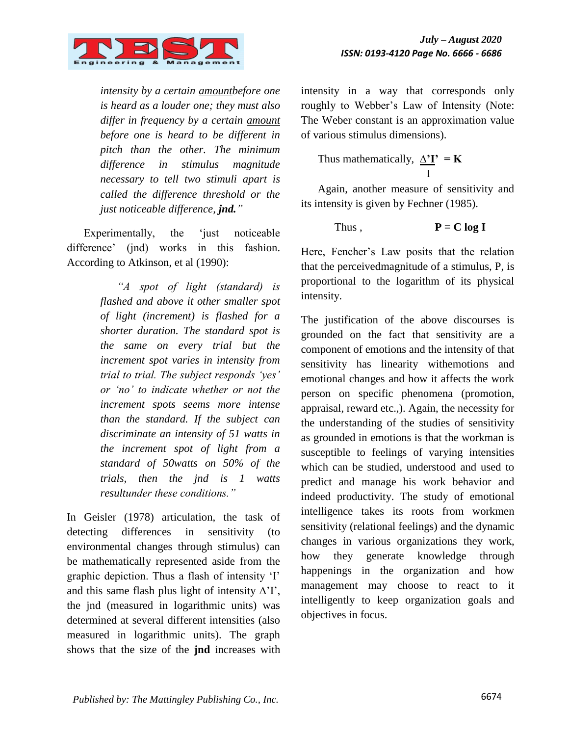

*intensity by a certain amountbefore one is heard as a louder one; they must also differ in frequency by a certain amount before one is heard to be different in pitch than the other. The minimum difference in stimulus magnitude necessary to tell two stimuli apart is called the difference threshold or the just noticeable difference, jnd."*

Experimentally, the 'just noticeable' difference' (jnd) works in this fashion. According to Atkinson, et al (1990):

> *"A spot of light (standard) is flashed and above it other smaller spot of light (increment) is flashed for a shorter duration. The standard spot is the same on every trial but the increment spot varies in intensity from trial to trial. The subject responds "yes" or "no" to indicate whether or not the increment spots seems more intense than the standard. If the subject can discriminate an intensity of 51 watts in the increment spot of light from a standard of 50watts on 50% of the trials, then the jnd is 1 watts resultunder these conditions."*

In Geisler (1978) articulation, the task of detecting differences in sensitivity (to environmental changes through stimulus) can be mathematically represented aside from the graphic depiction. Thus a flash of intensity "I" and this same flash plus light of intensity  $\Delta$ 'I', the jnd (measured in logarithmic units) was determined at several different intensities (also measured in logarithmic units). The graph shows that the size of the **jnd** increases with intensity in a way that corresponds only roughly to Webber"s Law of Intensity (Note: The Weber constant is an approximation value of various stimulus dimensions).

Thus mathematically,  $\Delta'$ **I'** = **K** I

Again, another measure of sensitivity and its intensity is given by Fechner (1985).

Thus, 
$$
P = C \log I
$$

Here, Fencher"s Law posits that the relation that the perceivedmagnitude of a stimulus, P, is proportional to the logarithm of its physical intensity.

The justification of the above discourses is grounded on the fact that sensitivity are a component of emotions and the intensity of that sensitivity has linearity withemotions and emotional changes and how it affects the work person on specific phenomena (promotion, appraisal, reward etc.,). Again, the necessity for the understanding of the studies of sensitivity as grounded in emotions is that the workman is susceptible to feelings of varying intensities which can be studied, understood and used to predict and manage his work behavior and indeed productivity. The study of emotional intelligence takes its roots from workmen sensitivity (relational feelings) and the dynamic changes in various organizations they work, how they generate knowledge through happenings in the organization and how management may choose to react to it intelligently to keep organization goals and objectives in focus.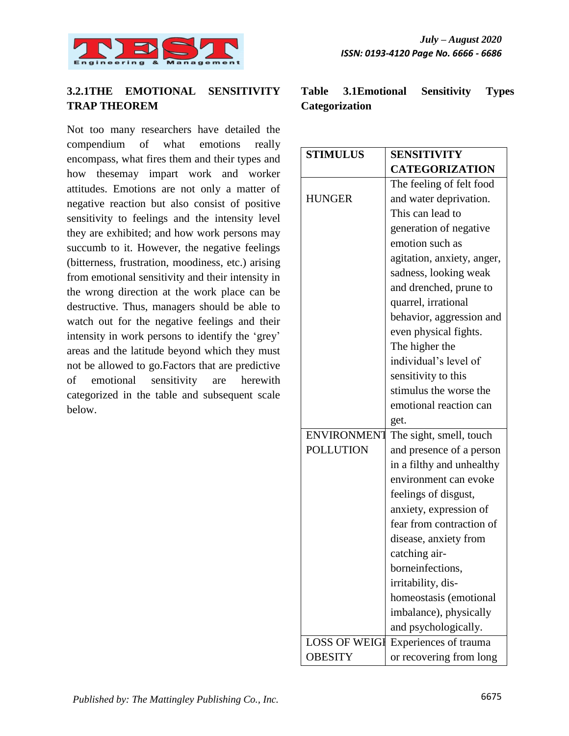

# **3.2.1THE EMOTIONAL SENSITIVITY TRAP THEOREM**

Not too many researchers have detailed the compendium of what emotions really encompass, what fires them and their types and how thesemay impart work and worker attitudes. Emotions are not only a matter of negative reaction but also consist of positive sensitivity to feelings and the intensity level they are exhibited; and how work persons may succumb to it. However, the negative feelings (bitterness, frustration, moodiness, etc.) arising from emotional sensitivity and their intensity in the wrong direction at the work place can be destructive. Thus, managers should be able to watch out for the negative feelings and their intensity in work persons to identify the "grey" areas and the latitude beyond which they must not be allowed to go.Factors that are predictive of emotional sensitivity are herewith categorized in the table and subsequent scale below.

|                | Table 3.1 Emotional Sensitivity | <b>Types</b> |
|----------------|---------------------------------|--------------|
| Categorization |                                 |              |

| <b>STIMULUS</b>      | <b>SENSITIVITY</b>         |  |  |
|----------------------|----------------------------|--|--|
|                      | <b>CATEGORIZATION</b>      |  |  |
|                      | The feeling of felt food   |  |  |
| <b>HUNGER</b>        | and water deprivation.     |  |  |
|                      | This can lead to           |  |  |
|                      | generation of negative     |  |  |
|                      | emotion such as            |  |  |
|                      | agitation, anxiety, anger, |  |  |
|                      | sadness, looking weak      |  |  |
|                      | and drenched, prune to     |  |  |
|                      | quarrel, irrational        |  |  |
|                      | behavior, aggression and   |  |  |
|                      | even physical fights.      |  |  |
|                      | The higher the             |  |  |
|                      | individual's level of      |  |  |
|                      | sensitivity to this        |  |  |
|                      | stimulus the worse the     |  |  |
|                      | emotional reaction can     |  |  |
|                      | get.                       |  |  |
| <b>ENVIRONMENT</b>   | The sight, smell, touch    |  |  |
| <b>POLLUTION</b>     | and presence of a person   |  |  |
|                      | in a filthy and unhealthy  |  |  |
|                      | environment can evoke      |  |  |
|                      | feelings of disgust,       |  |  |
|                      | anxiety, expression of     |  |  |
|                      | fear from contraction of   |  |  |
|                      | disease, anxiety from      |  |  |
|                      | catching air-              |  |  |
|                      | borneinfections,           |  |  |
|                      | irritability, dis-         |  |  |
|                      | homeostasis (emotional     |  |  |
|                      | imbalance), physically     |  |  |
|                      | and psychologically.       |  |  |
| <b>LOSS OF WEIGI</b> | Experiences of trauma      |  |  |
| <b>OBESITY</b>       | or recovering from long    |  |  |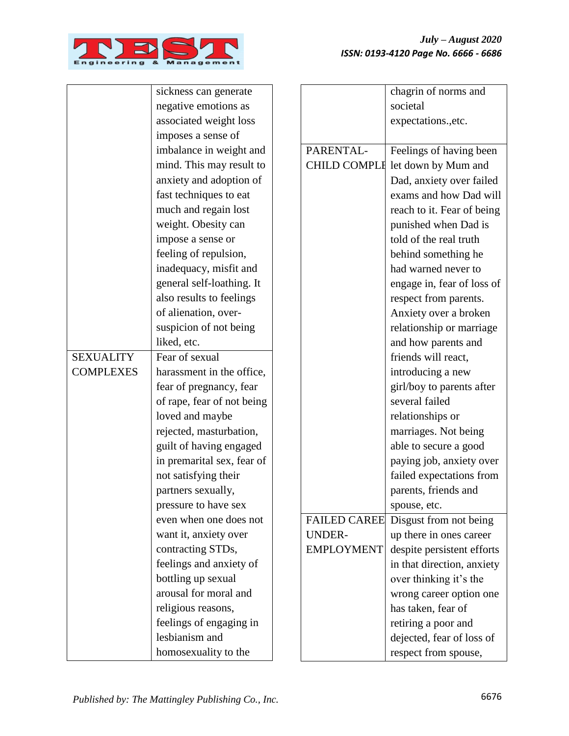

|                  | sickness can generate      |                     | chagrin of norms and       |
|------------------|----------------------------|---------------------|----------------------------|
|                  | negative emotions as       |                     | societal                   |
|                  | associated weight loss     |                     | expectations., etc.        |
|                  | imposes a sense of         |                     |                            |
|                  | imbalance in weight and    | PARENTAL-           | Feelings of having been    |
|                  | mind. This may result to   | <b>CHILD COMPLE</b> | let down by Mum and        |
|                  | anxiety and adoption of    |                     | Dad, anxiety over failed   |
|                  | fast techniques to eat     |                     | exams and how Dad will     |
|                  | much and regain lost       |                     | reach to it. Fear of being |
|                  | weight. Obesity can        |                     | punished when Dad is       |
|                  | impose a sense or          |                     | told of the real truth     |
|                  | feeling of repulsion,      |                     | behind something he        |
|                  | inadequacy, misfit and     |                     | had warned never to        |
|                  | general self-loathing. It  |                     | engage in, fear of loss of |
|                  | also results to feelings   |                     | respect from parents.      |
|                  | of alienation, over-       |                     | Anxiety over a broken      |
|                  | suspicion of not being     |                     | relationship or marriage   |
|                  | liked, etc.                |                     | and how parents and        |
| <b>SEXUALITY</b> | Fear of sexual             |                     | friends will react,        |
| <b>COMPLEXES</b> | harassment in the office,  |                     | introducing a new          |
|                  | fear of pregnancy, fear    |                     | girl/boy to parents after  |
|                  | of rape, fear of not being |                     | several failed             |
|                  | loved and maybe            |                     | relationships or           |
|                  | rejected, masturbation,    |                     | marriages. Not being       |
|                  | guilt of having engaged    |                     | able to secure a good      |
|                  | in premarital sex, fear of |                     | paying job, anxiety over   |
|                  | not satisfying their       |                     | failed expectations from   |
|                  | partners sexually,         |                     | parents, friends and       |
|                  | pressure to have sex       |                     | spouse, etc.               |
|                  | even when one does not     | <b>FAILED CAREE</b> | Disgust from not being     |
|                  | want it, anxiety over      | <b>UNDER-</b>       | up there in ones career    |
|                  | contracting STDs,          | <b>EMPLOYMENT</b>   | despite persistent efforts |
|                  | feelings and anxiety of    |                     | in that direction, anxiety |
|                  | bottling up sexual         |                     | over thinking it's the     |
|                  | arousal for moral and      |                     | wrong career option one    |
|                  | religious reasons,         |                     | has taken, fear of         |
|                  | feelings of engaging in    |                     | retiring a poor and        |
|                  | lesbianism and             |                     | dejected, fear of loss of  |
|                  | homosexuality to the       |                     | respect from spouse,       |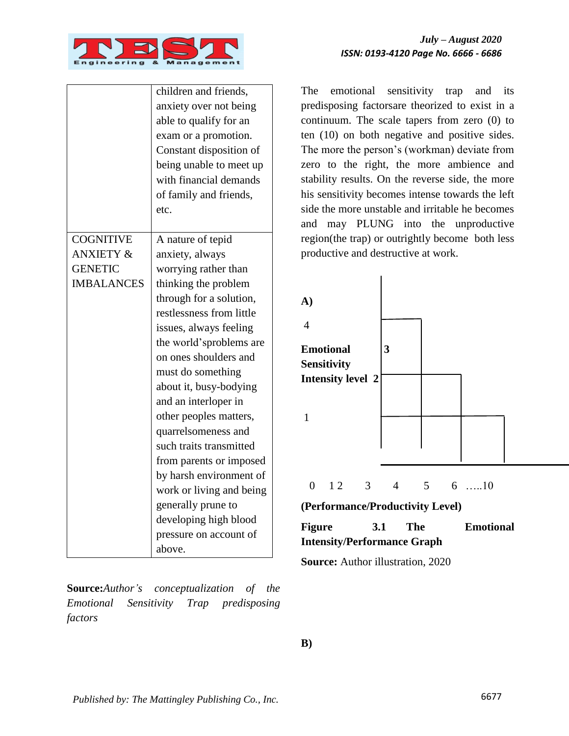

|                      | children and friends,<br>anxiety over not being<br>able to qualify for an<br>exam or a promotion.<br>Constant disposition of<br>being unable to meet up<br>with financial demands<br>of family and friends,<br>etc. |
|----------------------|---------------------------------------------------------------------------------------------------------------------------------------------------------------------------------------------------------------------|
| <b>COGNITIVE</b>     | A nature of tepid                                                                                                                                                                                                   |
| <b>ANXIETY &amp;</b> | anxiety, always                                                                                                                                                                                                     |
| <b>GENETIC</b>       | worrying rather than                                                                                                                                                                                                |
| <b>IMBALANCES</b>    | thinking the problem                                                                                                                                                                                                |
|                      | through for a solution,                                                                                                                                                                                             |
|                      | restlessness from little                                                                                                                                                                                            |
|                      | issues, always feeling                                                                                                                                                                                              |
|                      | the world'sproblems are                                                                                                                                                                                             |
|                      | on ones shoulders and                                                                                                                                                                                               |
|                      | must do something                                                                                                                                                                                                   |
|                      | about it, busy-bodying                                                                                                                                                                                              |
|                      | and an interloper in                                                                                                                                                                                                |
|                      | other peoples matters,                                                                                                                                                                                              |
|                      | quarrelsomeness and                                                                                                                                                                                                 |
|                      | such traits transmitted                                                                                                                                                                                             |
|                      | from parents or imposed                                                                                                                                                                                             |
|                      | by harsh environment of                                                                                                                                                                                             |
|                      | work or living and being                                                                                                                                                                                            |
|                      | generally prune to                                                                                                                                                                                                  |
|                      | developing high blood                                                                                                                                                                                               |
|                      | pressure on account of                                                                                                                                                                                              |
|                      | above.                                                                                                                                                                                                              |

**Source:***Author"s conceptualization of the Emotional Sensitivity Trap predisposing factors*

The emotional sensitivity trap and its predisposing factorsare theorized to exist in a continuum. The scale tapers from zero (0) to ten (10) on both negative and positive sides. The more the person"s (workman) deviate from zero to the right, the more ambience and stability results. On the reverse side, the more his sensitivity becomes intense towards the left side the more unstable and irritable he becomes and may PLUNG into the unproductive region(the trap) or outrightly become both less productive and destructive at work.



| Figure                             | <b>3.1</b> | The | <b>Emotional</b> |  |
|------------------------------------|------------|-----|------------------|--|
| <b>Intensity/Performance Graph</b> |            |     |                  |  |

**Source:** Author illustration, 2020

**B)**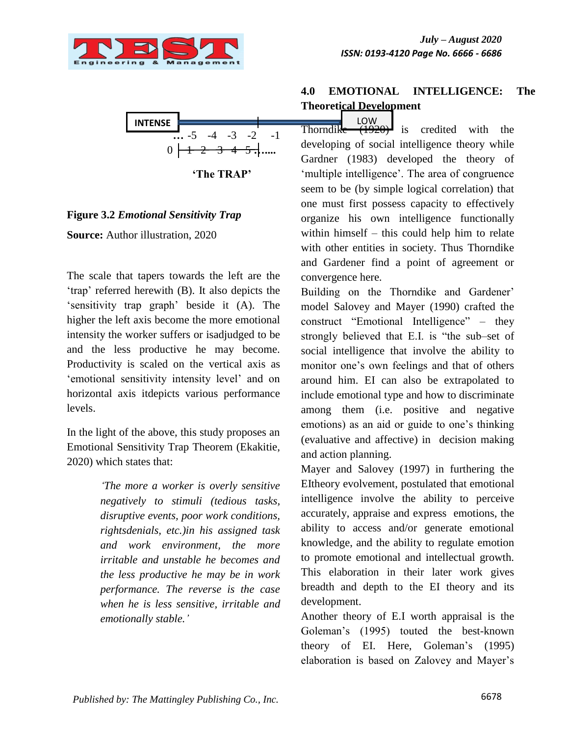



 **'The TRAP'**

#### **Figure 3.2** *Emotional Sensitivity Trap*

**Source:** Author illustration, 2020

The scale that tapers towards the left are the 'trap' referred herewith (B). It also depicts the "sensitivity trap graph" beside it (A). The higher the left axis become the more emotional intensity the worker suffers or isadjudged to be and the less productive he may become. Productivity is scaled on the vertical axis as "emotional sensitivity intensity level" and on horizontal axis itdepicts various performance levels.

In the light of the above, this study proposes an Emotional Sensitivity Trap Theorem (Ekakitie, 2020) which states that:

> *"The more a worker is overly sensitive negatively to stimuli (tedious tasks, disruptive events, poor work conditions, rightsdenials, etc.)in his assigned task and work environment, the more irritable and unstable he becomes and the less productive he may be in work performance. The reverse is the case when he is less sensitive, irritable and emotionally stable."*

# **4.0 EMOTIONAL INTELLIGENCE: The Theoretical Development**

 $\overline{1920}$  is credited with the developing of social intelligence theory while Gardner (1983) developed the theory of 'multiple intelligence'. The area of congruence seem to be (by simple logical correlation) that one must first possess capacity to effectively organize his own intelligence functionally within himself – this could help him to relate with other entities in society. Thus Thorndike and Gardener find a point of agreement or convergence here.

Building on the Thorndike and Gardener' model Salovey and Mayer (1990) crafted the construct "Emotional Intelligence" – they strongly believed that E.I. is "the sub–set of social intelligence that involve the ability to monitor one's own feelings and that of others around him. EI can also be extrapolated to include emotional type and how to discriminate among them (i.e. positive and negative emotions) as an aid or guide to one"s thinking (evaluative and affective) in decision making and action planning.

Mayer and Salovey (1997) in furthering the EItheory evolvement, postulated that emotional intelligence involve the ability to perceive accurately, appraise and express emotions, the ability to access and/or generate emotional knowledge, and the ability to regulate emotion to promote emotional and intellectual growth. This elaboration in their later work gives breadth and depth to the EI theory and its development.

Another theory of E.I worth appraisal is the Goleman"s (1995) touted the best-known theory of EI. Here, Goleman"s (1995) elaboration is based on Zalovey and Mayer"s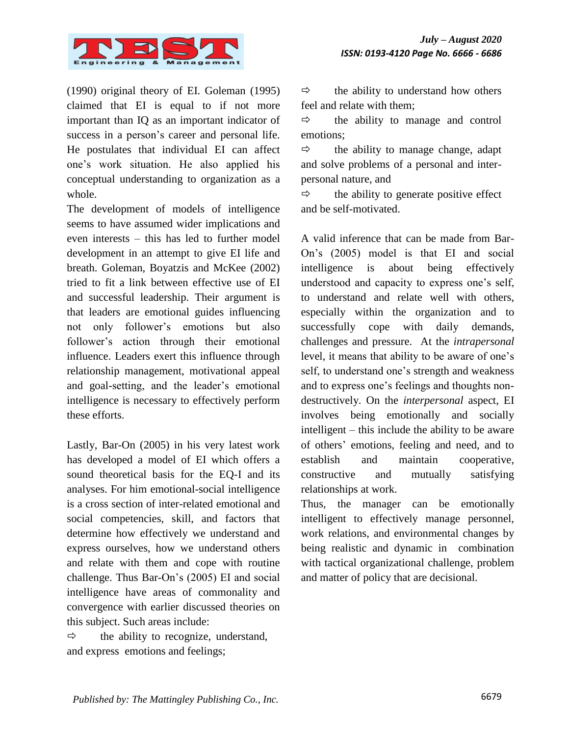

(1990) original theory of EI. Goleman (1995) claimed that EI is equal to if not more important than IQ as an important indicator of success in a person's career and personal life. He postulates that individual EI can affect one"s work situation. He also applied his conceptual understanding to organization as a whole.

The development of models of intelligence seems to have assumed wider implications and even interests – this has led to further model development in an attempt to give EI life and breath. Goleman, Boyatzis and McKee (2002) tried to fit a link between effective use of EI and successful leadership. Their argument is that leaders are emotional guides influencing not only follower"s emotions but also follower's action through their emotional influence. Leaders exert this influence through relationship management, motivational appeal and goal-setting, and the leader"s emotional intelligence is necessary to effectively perform these efforts.

Lastly, Bar-On (2005) in his very latest work has developed a model of EI which offers a sound theoretical basis for the EQ-I and its analyses. For him emotional-social intelligence is a cross section of inter-related emotional and social competencies, skill, and factors that determine how effectively we understand and express ourselves, how we understand others and relate with them and cope with routine challenge. Thus Bar-On"s (2005) EI and social intelligence have areas of commonality and convergence with earlier discussed theories on this subject. Such areas include:

 $\Rightarrow$  the ability to recognize, understand, and express emotions and feelings;

 $\Rightarrow$  the ability to understand how others feel and relate with them;

 $\Rightarrow$  the ability to manage and control emotions;

 $\Rightarrow$  the ability to manage change, adapt and solve problems of a personal and interpersonal nature, and

 $\Rightarrow$  the ability to generate positive effect and be self-motivated.

A valid inference that can be made from Bar-On"s (2005) model is that EI and social intelligence is about being effectively understood and capacity to express one"s self, to understand and relate well with others, especially within the organization and to successfully cope with daily demands, challenges and pressure. At the *intrapersonal* level, it means that ability to be aware of one"s self, to understand one's strength and weakness and to express one's feelings and thoughts nondestructively. On the *interpersonal* aspect, EI involves being emotionally and socially intelligent – this include the ability to be aware of others" emotions, feeling and need, and to establish and maintain cooperative, constructive and mutually satisfying relationships at work.

Thus, the manager can be emotionally intelligent to effectively manage personnel, work relations, and environmental changes by being realistic and dynamic in combination with tactical organizational challenge, problem and matter of policy that are decisional.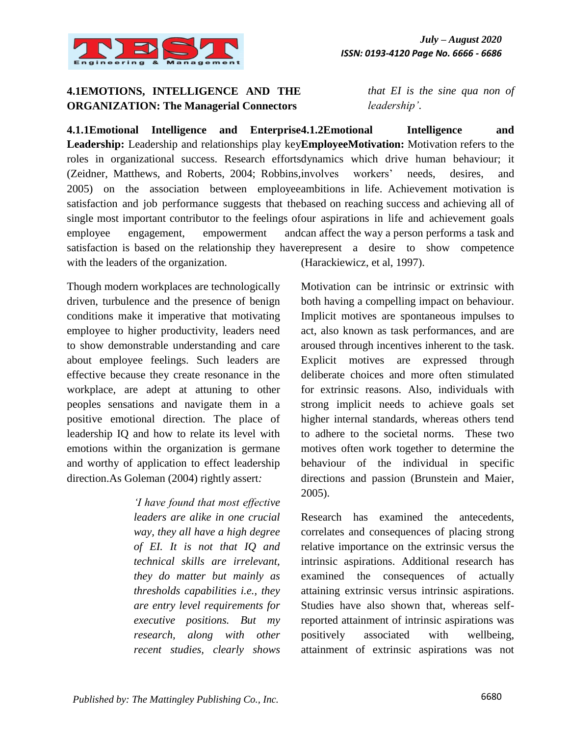

### **4.1EMOTIONS, INTELLIGENCE AND THE ORGANIZATION: The Managerial Connectors**

*that EI is the sine qua non of leadership"*.

4.1.1Emotional Intelligence and Enterprise4.1.2Emotional Intelligence and Leadership: Leadership and relationships play keyEmployeeMotivation: Motivation refers to the roles in organizational success. Research effortsdynamics which drive human behaviour; it (Zeidner, Matthews, and Roberts, 2004; Robbins, involves workers' needs, desires, and 2005) on the association between employee ambitions in life. Achievement motivation is satisfaction and job performance suggests that the based on reaching success and achieving all of single most important contributor to the feelings of our aspirations in life and achievement goals employee engagement, empowerment satisfaction is based on the relationship they haverepresent a desire to show competence with the leaders of the organization. andcan affect the way a person performs a task and (Harackiewicz, et al, 1997).

Though modern workplaces are technologically driven, turbulence and the presence of benign conditions make it imperative that motivating employee to higher productivity, leaders need to show demonstrable understanding and care about employee feelings. Such leaders are effective because they create resonance in the workplace, are adept at attuning to other peoples sensations and navigate them in a positive emotional direction. The place of leadership IQ and how to relate its level with emotions within the organization is germane and worthy of application to effect leadership direction.As Goleman (2004) rightly assert*:* 

> *"I have found that most effective leaders are alike in one crucial way, they all have a high degree of EI. It is not that IQ and technical skills are irrelevant, they do matter but mainly as thresholds capabilities i.e., they are entry level requirements for executive positions. But my research, along with other recent studies, clearly shows*

Motivation can be intrinsic or extrinsic with both having a compelling impact on behaviour. Implicit motives are spontaneous impulses to act, also known as task performances, and are aroused through incentives inherent to the task. Explicit motives are expressed through deliberate choices and more often stimulated for extrinsic reasons. Also, individuals with strong implicit needs to achieve goals set higher internal standards, whereas others tend to adhere to the societal norms. These two motives often work together to determine the behaviour of the individual in specific directions and passion (Brunstein and Maier, 2005).

Research has examined the antecedents, correlates and consequences of placing strong relative importance on the extrinsic versus the intrinsic aspirations. Additional research has examined the consequences of actually attaining extrinsic versus intrinsic aspirations. Studies have also shown that, whereas selfreported attainment of intrinsic aspirations was positively associated with wellbeing, attainment of extrinsic aspirations was not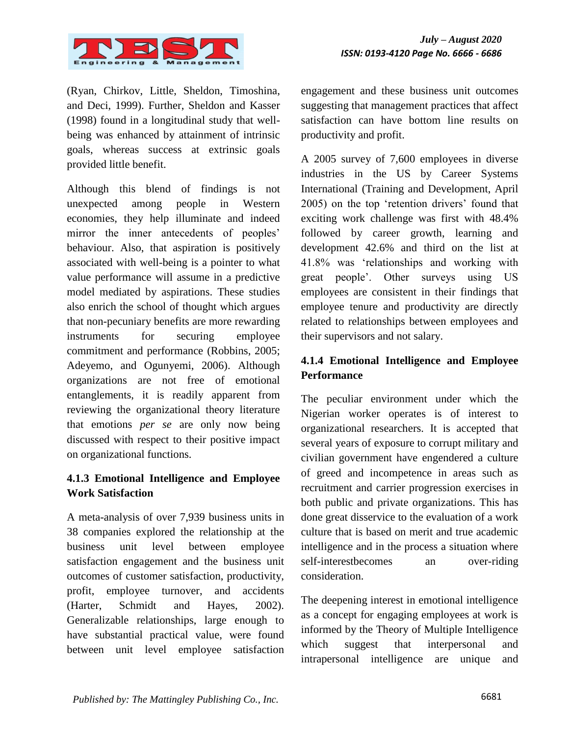

(Ryan, Chirkov, Little, Sheldon, Timoshina, and Deci, 1999). Further, Sheldon and Kasser (1998) found in a longitudinal study that wellbeing was enhanced by attainment of intrinsic goals, whereas success at extrinsic goals provided little benefit.

Although this blend of findings is not unexpected among people in Western economies, they help illuminate and indeed mirror the inner antecedents of peoples' behaviour. Also, that aspiration is positively associated with well-being is a pointer to what value performance will assume in a predictive model mediated by aspirations. These studies also enrich the school of thought which argues that non-pecuniary benefits are more rewarding instruments for securing employee commitment and performance (Robbins, 2005; Adeyemo, and Ogunyemi, 2006). Although organizations are not free of emotional entanglements, it is readily apparent from reviewing the organizational theory literature that emotions *per se* are only now being discussed with respect to their positive impact on organizational functions.

### **4.1.3 Emotional Intelligence and Employee Work Satisfaction**

A meta-analysis of over 7,939 business units in 38 companies explored the relationship at the business unit level between employee satisfaction engagement and the business unit outcomes of customer satisfaction, productivity, profit, employee turnover, and accidents (Harter, Schmidt and Hayes, 2002). Generalizable relationships, large enough to have substantial practical value, were found between unit level employee satisfaction engagement and these business unit outcomes suggesting that management practices that affect satisfaction can have bottom line results on productivity and profit.

A 2005 survey of 7,600 employees in diverse industries in the US by Career Systems International (Training and Development, April 2005) on the top "retention drivers" found that exciting work challenge was first with 48.4% followed by career growth, learning and development 42.6% and third on the list at 41.8% was "relationships and working with great people". Other surveys using US employees are consistent in their findings that employee tenure and productivity are directly related to relationships between employees and their supervisors and not salary.

# **4.1.4 Emotional Intelligence and Employee Performance**

The peculiar environment under which the Nigerian worker operates is of interest to organizational researchers. It is accepted that several years of exposure to corrupt military and civilian government have engendered a culture of greed and incompetence in areas such as recruitment and carrier progression exercises in both public and private organizations. This has done great disservice to the evaluation of a work culture that is based on merit and true academic intelligence and in the process a situation where self-interestbecomes an over-riding consideration.

The deepening interest in emotional intelligence as a concept for engaging employees at work is informed by the Theory of Multiple Intelligence which suggest that interpersonal and intrapersonal intelligence are unique and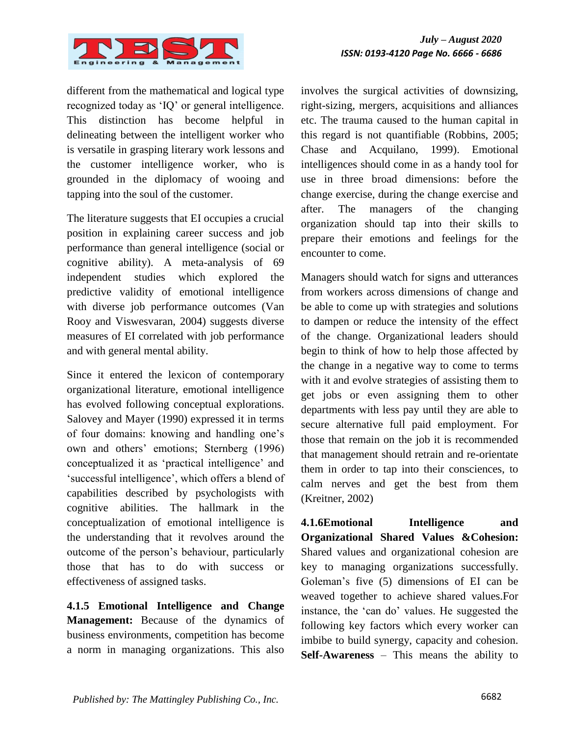

different from the mathematical and logical type recognized today as "IQ" or general intelligence. This distinction has become helpful in delineating between the intelligent worker who is versatile in grasping literary work lessons and the customer intelligence worker, who is grounded in the diplomacy of wooing and tapping into the soul of the customer.

The literature suggests that EI occupies a crucial position in explaining career success and job performance than general intelligence (social or cognitive ability). A meta-analysis of 69 independent studies which explored the predictive validity of emotional intelligence with diverse job performance outcomes (Van Rooy and Viswesvaran, 2004) suggests diverse measures of EI correlated with job performance and with general mental ability.

Since it entered the lexicon of contemporary organizational literature, emotional intelligence has evolved following conceptual explorations. Salovey and Mayer (1990) expressed it in terms of four domains: knowing and handling one"s own and others" emotions; Sternberg (1996) conceptualized it as "practical intelligence" and "successful intelligence", which offers a blend of capabilities described by psychologists with cognitive abilities. The hallmark in the conceptualization of emotional intelligence is the understanding that it revolves around the outcome of the person"s behaviour, particularly those that has to do with success or effectiveness of assigned tasks.

**4.1.5 Emotional Intelligence and Change Management:** Because of the dynamics of business environments, competition has become a norm in managing organizations. This also

involves the surgical activities of downsizing, right-sizing, mergers, acquisitions and alliances etc. The trauma caused to the human capital in this regard is not quantifiable (Robbins, 2005; Chase and Acquilano, 1999). Emotional intelligences should come in as a handy tool for use in three broad dimensions: before the change exercise, during the change exercise and after. The managers of the changing organization should tap into their skills to prepare their emotions and feelings for the encounter to come.

Managers should watch for signs and utterances from workers across dimensions of change and be able to come up with strategies and solutions to dampen or reduce the intensity of the effect of the change. Organizational leaders should begin to think of how to help those affected by the change in a negative way to come to terms with it and evolve strategies of assisting them to get jobs or even assigning them to other departments with less pay until they are able to secure alternative full paid employment. For those that remain on the job it is recommended that management should retrain and re-orientate them in order to tap into their consciences, to calm nerves and get the best from them (Kreitner, 2002)

**4.1.6Emotional Intelligence and Organizational Shared Values &Cohesion:**  Shared values and organizational cohesion are key to managing organizations successfully. Goleman"s five (5) dimensions of EI can be weaved together to achieve shared values.For instance, the "can do" values. He suggested the following key factors which every worker can imbibe to build synergy, capacity and cohesion. **Self-Awareness** – This means the ability to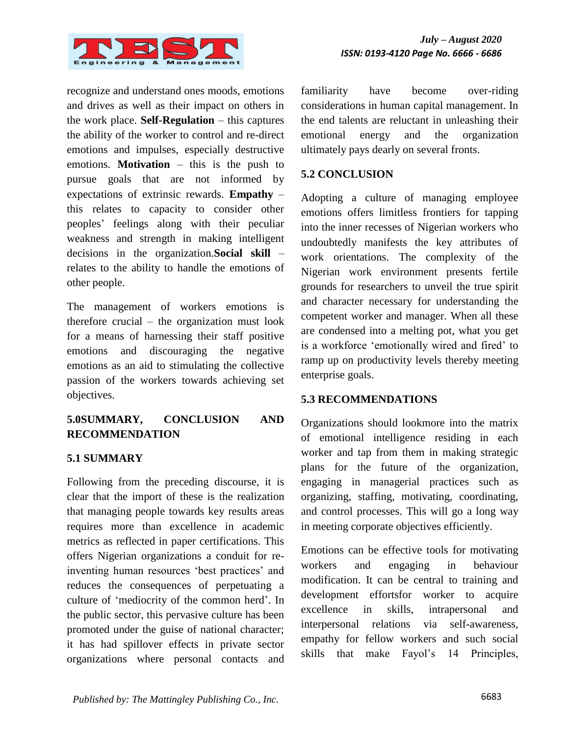

recognize and understand ones moods, emotions and drives as well as their impact on others in the work place. **Self-Regulation** – this captures the ability of the worker to control and re-direct emotions and impulses, especially destructive emotions. **Motivation** – this is the push to pursue goals that are not informed by expectations of extrinsic rewards. **Empathy** – this relates to capacity to consider other peoples" feelings along with their peculiar weakness and strength in making intelligent decisions in the organization.**Social skill** – relates to the ability to handle the emotions of other people.

The management of workers emotions is therefore crucial – the organization must look for a means of harnessing their staff positive emotions and discouraging the negative emotions as an aid to stimulating the collective passion of the workers towards achieving set objectives.

### **5.0SUMMARY, CONCLUSION AND RECOMMENDATION**

#### **5.1 SUMMARY**

Following from the preceding discourse, it is clear that the import of these is the realization that managing people towards key results areas requires more than excellence in academic metrics as reflected in paper certifications. This offers Nigerian organizations a conduit for reinventing human resources 'best practices' and reduces the consequences of perpetuating a culture of "mediocrity of the common herd". In the public sector, this pervasive culture has been promoted under the guise of national character; it has had spillover effects in private sector organizations where personal contacts and familiarity have become over-riding considerations in human capital management. In the end talents are reluctant in unleashing their emotional energy and the organization ultimately pays dearly on several fronts.

#### **5.2 CONCLUSION**

Adopting a culture of managing employee emotions offers limitless frontiers for tapping into the inner recesses of Nigerian workers who undoubtedly manifests the key attributes of work orientations. The complexity of the Nigerian work environment presents fertile grounds for researchers to unveil the true spirit and character necessary for understanding the competent worker and manager. When all these are condensed into a melting pot, what you get is a workforce "emotionally wired and fired" to ramp up on productivity levels thereby meeting enterprise goals.

#### **5.3 RECOMMENDATIONS**

Organizations should lookmore into the matrix of emotional intelligence residing in each worker and tap from them in making strategic plans for the future of the organization, engaging in managerial practices such as organizing, staffing, motivating, coordinating, and control processes. This will go a long way in meeting corporate objectives efficiently.

Emotions can be effective tools for motivating workers and engaging in behaviour modification. It can be central to training and development effortsfor worker to acquire excellence in skills, intrapersonal and interpersonal relations via self-awareness, empathy for fellow workers and such social skills that make Fayol"s 14 Principles,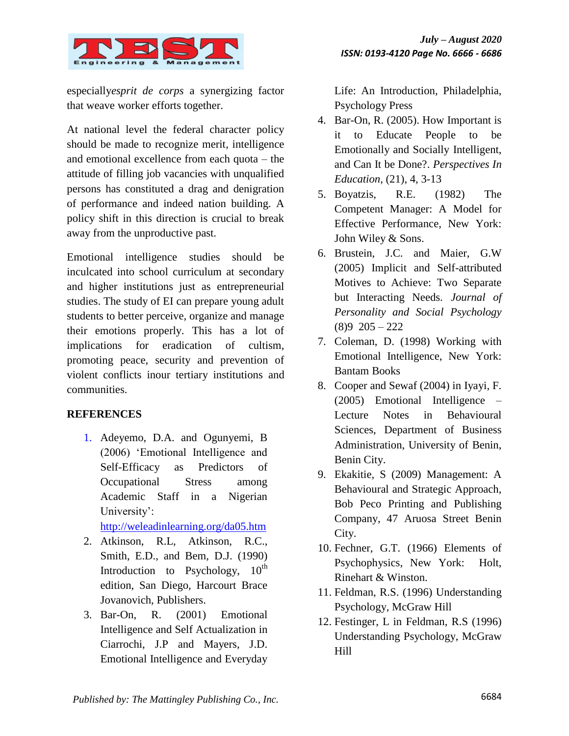

especially*esprit de corps* a synergizing factor that weave worker efforts together.

At national level the federal character policy should be made to recognize merit, intelligence and emotional excellence from each quota – the attitude of filling job vacancies with unqualified persons has constituted a drag and denigration of performance and indeed nation building. A policy shift in this direction is crucial to break away from the unproductive past.

Emotional intelligence studies should be inculcated into school curriculum at secondary and higher institutions just as entrepreneurial studies. The study of EI can prepare young adult students to better perceive, organize and manage their emotions properly. This has a lot of implications for eradication of cultism, promoting peace, security and prevention of violent conflicts inour tertiary institutions and communities.

#### **REFERENCES**

1. Adeyemo, D.A. and Ogunyemi, B (2006) "Emotional Intelligence and Self-Efficacy as Predictors of Occupational Stress among Academic Staff in a Nigerian University':

<http://weleadinlearning.org/da05.htm>

- 2. Atkinson, R.L, Atkinson, R.C., Smith, E.D., and Bem, D.J. (1990) Introduction to Psychology,  $10^{th}$ edition, San Diego, Harcourt Brace Jovanovich, Publishers.
- 3. Bar-On, R. (2001) Emotional Intelligence and Self Actualization in Ciarrochi, J.P and Mayers, J.D. Emotional Intelligence and Everyday

Life: An Introduction, Philadelphia, Psychology Press

- 4. Bar-On, R. (2005). How Important is it to Educate People to be Emotionally and Socially Intelligent, and Can It be Done?. *Perspectives In Education*, (21), 4, 3-13
- 5. Boyatzis, R.E. (1982) The Competent Manager: A Model for Effective Performance, New York: John Wiley & Sons.
- 6. Brustein, J.C. and Maier, G.W (2005) Implicit and Self-attributed Motives to Achieve: Two Separate but Interacting Needs. *Journal of Personality and Social Psychology* (8)9 205 – 222
- 7. Coleman, D. (1998) Working with Emotional Intelligence, New York: Bantam Books
- 8. Cooper and Sewaf (2004) in Iyayi, F. (2005) Emotional Intelligence – Lecture Notes in Behavioural Sciences, Department of Business Administration, University of Benin, Benin City.
- 9. Ekakitie, S (2009) Management: A Behavioural and Strategic Approach, Bob Peco Printing and Publishing Company, 47 Aruosa Street Benin City.
- 10. Fechner, G.T. (1966) Elements of Psychophysics, New York: Holt, Rinehart & Winston.
- 11. Feldman, R.S. (1996) Understanding Psychology, McGraw Hill
- 12. Festinger, L in Feldman, R.S (1996) Understanding Psychology, McGraw Hill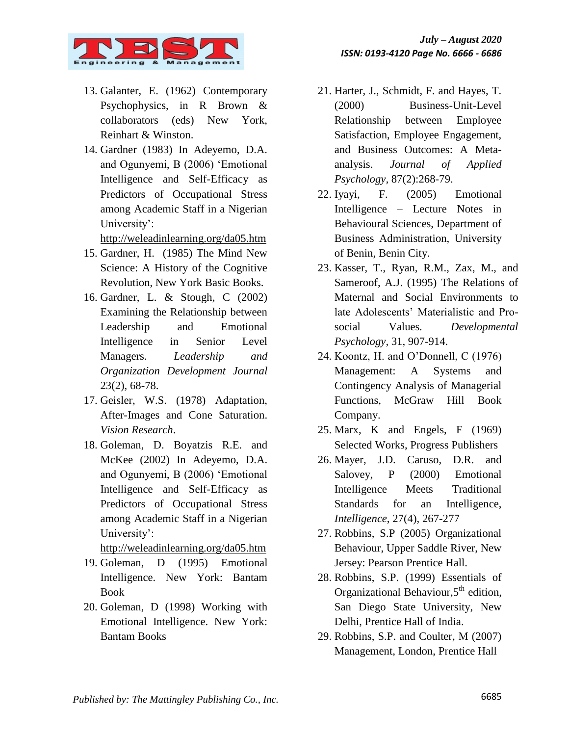

- 13. Galanter, E. (1962) Contemporary Psychophysics, in R Brown & collaborators (eds) New York, Reinhart & Winston.
- 14. Gardner (1983) In Adeyemo, D.A. and Ogunyemi, B (2006) "Emotional Intelligence and Self-Efficacy as Predictors of Occupational Stress among Academic Staff in a Nigerian University':

<http://weleadinlearning.org/da05.htm>

- 15. Gardner, H. (1985) The Mind New Science: A History of the Cognitive Revolution, New York Basic Books.
- 16. Gardner, L. & Stough, C (2002) Examining the Relationship between Leadership and Emotional Intelligence in Senior Level Managers. *Leadership and Organization Development Journal* 23(2), 68-78.
- 17. Geisler, W.S. (1978) Adaptation, After-Images and Cone Saturation. *Vision Research*.
- 18. Goleman, D. Boyatzis R.E. and McKee (2002) In Adeyemo, D.A. and Ogunyemi, B (2006) "Emotional Intelligence and Self-Efficacy as Predictors of Occupational Stress among Academic Staff in a Nigerian University':

<http://weleadinlearning.org/da05.htm>

- 19. Goleman, D (1995) Emotional Intelligence. New York: Bantam Book
- 20. Goleman, D (1998) Working with Emotional Intelligence. New York: Bantam Books
- 21. Harter, J., Schmidt, F. and Hayes, T. (2000) Business-Unit-Level Relationship between Employee Satisfaction, Employee Engagement, and Business Outcomes: A Metaanalysis. *Journal of Applied Psychology,* 87(2):268-79.
- 22. Iyayi, F. (2005) Emotional Intelligence – Lecture Notes in Behavioural Sciences, Department of Business Administration, University of Benin, Benin City.
- 23. Kasser, T., Ryan, R.M., Zax, M., and Sameroof, A.J. (1995) The Relations of Maternal and Social Environments to late Adolescents" Materialistic and Prosocial Values*. Developmental Psychology,* 31, 907-914.
- 24. Koontz, H. and O"Donnell, C (1976) Management: A Systems and Contingency Analysis of Managerial Functions, McGraw Hill Book Company.
- 25. Marx, K and Engels, F (1969) Selected Works, Progress Publishers
- 26. Mayer, J.D. Caruso, D.R. and Salovey, P (2000) Emotional Intelligence Meets Traditional Standards for an Intelligence, *Intelligence*, 27(4), 267-277
- 27. Robbins, S.P (2005) Organizational Behaviour, Upper Saddle River, New Jersey: Pearson Prentice Hall.
- 28. Robbins, S.P. (1999) Essentials of Organizational Behaviour,  $5<sup>th</sup>$  edition, San Diego State University, New Delhi, Prentice Hall of India.
- 29. Robbins, S.P. and Coulter, M (2007) Management, London, Prentice Hall